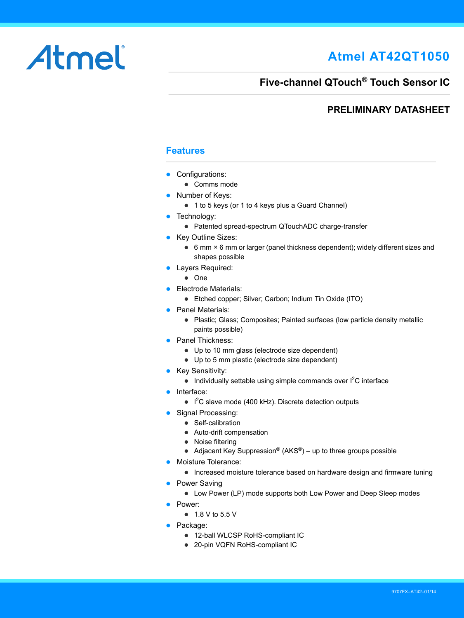### **Atmel AT42QT1050**

# Atmel

### **Five-channel QTouch® Touch Sensor IC**

#### **PRELIMINARY DATASHEET**

#### <span id="page-0-0"></span>**Features**

- Configurations:
	- Comms mode
- Number of Keys:
	- 1 to 5 keys (or 1 to 4 keys plus a Guard Channel)
- Technology:
	- Patented spread-spectrum QTouchADC charge-transfer
- Key Outline Sizes:
	- 6 mm × 6 mm or larger (panel thickness dependent); widely different sizes and shapes possible
- **•** Layers Required:
	- One
- **Electrode Materials:** 
	- Etched copper; Silver; Carbon; Indium Tin Oxide (ITO)
- Panel Materials:
	- Plastic; Glass; Composites; Painted surfaces (low particle density metallic paints possible)
- Panel Thickness:
	- Up to 10 mm glass (electrode size dependent)
	- Up to 5 mm plastic (electrode size dependent)
- Key Sensitivity:
	- $\bullet$  Individually settable using simple commands over  $l^2C$  interface
- Interface:
	- $\bullet$  I<sup>2</sup>C slave mode (400 kHz). Discrete detection outputs
- Signal Processing:
	- Self-calibration
		- Auto-drift compensation
		- Noise filtering
		- Adjacent Key Suppression® ( $AKS<sup>®</sup>$ ) up to three groups possible
- Moisture Tolerance:
	- Increased moisture tolerance based on hardware design and firmware tuning
- Power Saving
	- Low Power (LP) mode supports both Low Power and Deep Sleep modes
- Power:
	- 1.8 V to 5.5 V
- Package:
	- 12-ball WLCSP RoHS-compliant IC
	- 20-pin VQFN RoHS-compliant IC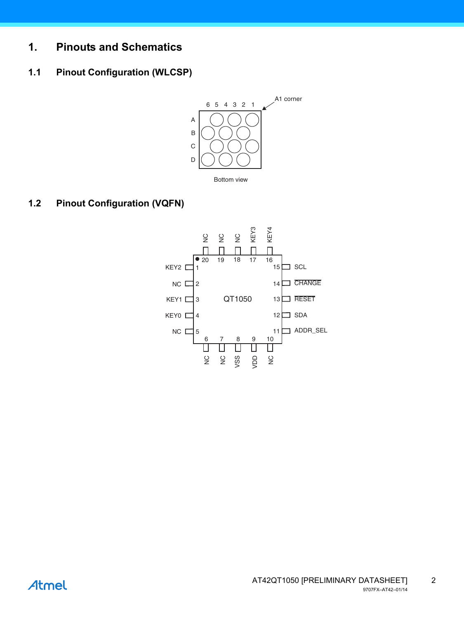### **1. Pinouts and Schematics**

#### **1.1 Pinout Configuration (WLCSP)**



#### **1.2 Pinout Configuration (VQFN)**

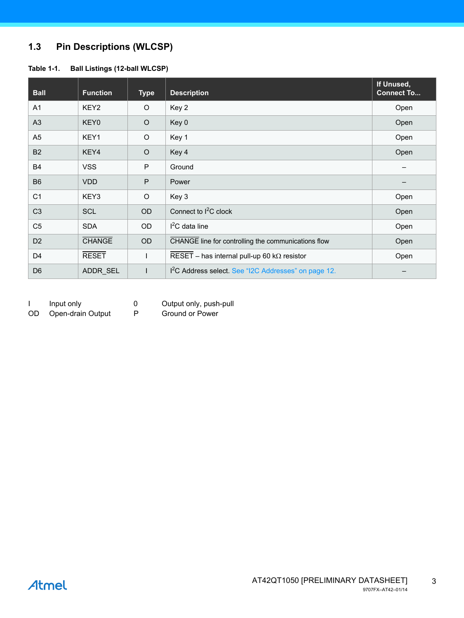### **1.3 Pin Descriptions (WLCSP)**

#### **Table 1-1. Ball Listings (12-ball WLCSP)**

| <b>Ball</b>    | <b>Function</b>  | <b>Type</b>  | <b>Description</b>                                               | If Unused,<br><b>Connect To</b> |
|----------------|------------------|--------------|------------------------------------------------------------------|---------------------------------|
| A1             | KEY <sub>2</sub> | $\circ$      | Key 2                                                            | Open                            |
| A <sub>3</sub> | KEY0             | $\circ$      | Key 0                                                            | Open                            |
| A <sub>5</sub> | KEY1             | $\circ$      | Key 1                                                            | Open                            |
| <b>B2</b>      | KEY4             | $\circ$      | Key 4                                                            | Open                            |
| <b>B4</b>      | <b>VSS</b>       | P            | Ground                                                           |                                 |
| <b>B6</b>      | <b>VDD</b>       | $\mathsf{P}$ | Power                                                            |                                 |
| C <sub>1</sub> | KEY3             | $\circ$      | Key 3                                                            | Open                            |
| C <sub>3</sub> | <b>SCL</b>       | OD           | Connect to I <sup>2</sup> C clock                                | Open                            |
| C <sub>5</sub> | <b>SDA</b>       | OD           | $I2C$ data line                                                  | Open                            |
| D <sub>2</sub> | <b>CHANGE</b>    | OD           | CHANGE line for controlling the communications flow              | Open                            |
| D <sub>4</sub> | <b>RESET</b>     |              | RESET - has internal pull-up 60 k $\Omega$ resistor              | Open                            |
| D <sub>6</sub> | ADDR SEL         | $\mathbf{I}$ | I <sup>2</sup> C Address select. See "I2C Addresses" on page 12. |                                 |

|     | Input only        | 0 | Output only, push-pull |
|-----|-------------------|---|------------------------|
| OD. | Open-drain Output | P | Ground or Power        |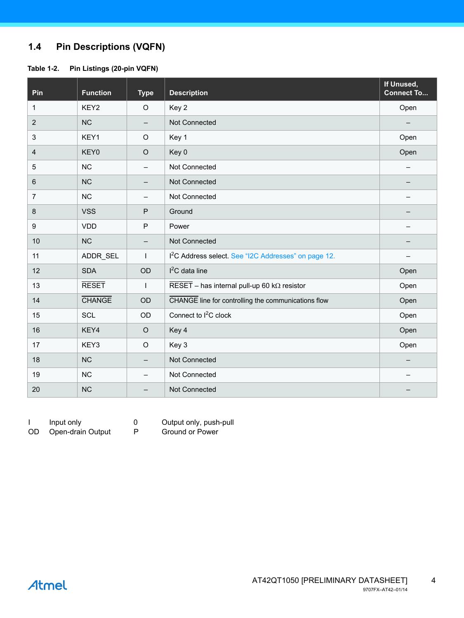#### **1.4 Pin Descriptions (VQFN)**

#### **Table 1-2. Pin Listings (20-pin VQFN)**

| Pin            | <b>Function</b> | <b>Type</b>              | <b>Description</b>                                                      | If Unused,<br><b>Connect To</b> |
|----------------|-----------------|--------------------------|-------------------------------------------------------------------------|---------------------------------|
| $\mathbf{1}$   | KEY2            | $\circ$                  | Key 2                                                                   | Open                            |
| $\overline{2}$ | <b>NC</b>       | $\overline{\phantom{m}}$ | Not Connected                                                           |                                 |
| 3              | KEY1            | $\circ$                  | Key 1                                                                   | Open                            |
| $\overline{4}$ | KEY0            | $\circ$                  | Key 0                                                                   | Open                            |
| 5              | <b>NC</b>       |                          | Not Connected                                                           | $\qquad \qquad -$               |
| $6\phantom{1}$ | <b>NC</b>       |                          | Not Connected                                                           |                                 |
| $\overline{7}$ | NC              | $\overline{\phantom{m}}$ | Not Connected                                                           |                                 |
| 8              | <b>VSS</b>      | P                        | Ground                                                                  |                                 |
| 9              | <b>VDD</b>      | $\mathsf{P}$             | Power                                                                   |                                 |
| 10             | NC              |                          | Not Connected                                                           |                                 |
| 11             | ADDR SEL        | $\mathbf{I}$             | I <sup>2</sup> C Address select. See "I2C Addresses" on page 12.        |                                 |
| 12             | <b>SDA</b>      | OD                       | $I2C$ data line                                                         | Open                            |
| 13             | <b>RESET</b>    | $\mathbf{I}$             | $\overline{\text{RESET}}$ – has internal pull-up 60 k $\Omega$ resistor | Open                            |
| 14             | <b>CHANGE</b>   | OD                       | CHANGE line for controlling the communications flow                     | Open                            |
| 15             | SCL             | OD                       | Connect to I <sup>2</sup> C clock                                       | Open                            |
| 16             | KEY4            | $\mathsf O$              | Key 4                                                                   | Open                            |
| 17             | KEY3            | $\circ$                  | Key 3                                                                   | Open                            |
| 18             | NC              |                          | Not Connected                                                           | -                               |
| 19             | <b>NC</b>       | —                        | Not Connected                                                           |                                 |
| 20             | <b>NC</b>       |                          | Not Connected                                                           |                                 |

I Input only **0** Output only, push-pull

OD Open-drain Output P Ground or Power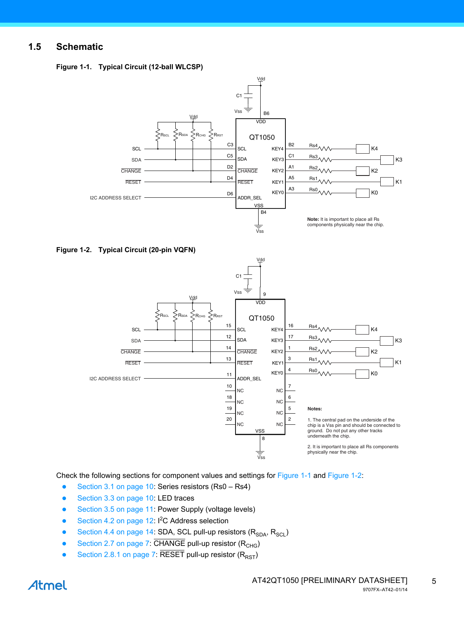#### **1.5 Schematic**

<span id="page-4-0"></span>

| Figure 1-1. Typical Circuit (12-ball WLCSP) |  |  |  |
|---------------------------------------------|--|--|--|
|---------------------------------------------|--|--|--|



<span id="page-4-1"></span>



Check the following sections for component values and settings for [Figure 1-1](#page-4-0) and [Figure 1-2:](#page-4-1)

- [Section 3.1 on page 10:](#page-9-0) Series resistors (Rs0 Rs4)
- [Section 3.3 on page 10:](#page-9-1) LED traces
- [Section 3.5 on page 11:](#page-10-0) Power Supply (voltage levels)
- [Section 4.2 on page 12:](#page-11-0)  $1^2C$  Address selection
- [Section 4.4 on page 14:](#page-13-0) SDA, SCL pull-up resistors  $(R_{SDA}, R_{SCL})$
- [Section 2.7 on page 7](#page-6-0):  $\overline{CHANGE}$  pull-up resistor ( $R<sub>CHG</sub>$ )
- [Section 2.8.1 on page 7](#page-6-1):  $\overline{\sf{RESET}}$  pull-up resistor ( $R_{\sf RST}$ )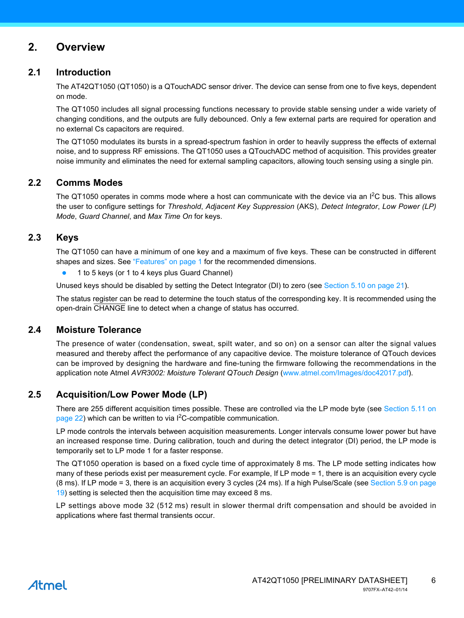#### **2. Overview**

#### **2.1 Introduction**

The AT42QT1050 (QT1050) is a QTouchADC sensor driver. The device can sense from one to five keys, dependent on mode.

The QT1050 includes all signal processing functions necessary to provide stable sensing under a wide variety of changing conditions, and the outputs are fully debounced. Only a few external parts are required for operation and no external Cs capacitors are required.

The QT1050 modulates its bursts in a spread-spectrum fashion in order to heavily suppress the effects of external noise, and to suppress RF emissions. The QT1050 uses a QTouchADC method of acquisition. This provides greater noise immunity and eliminates the need for external sampling capacitors, allowing touch sensing using a single pin.

#### **2.2 Comms Modes**

The QT1050 operates in comms mode where a host can communicate with the device via an  $I<sup>2</sup>C$  bus. This allows the user to configure settings for *Threshold*, *Adjacent Key Suppression* (AKS), *Detect Integrator*, *Low Power (LP) Mode*, *Guard Channel*, and *Max Time On* for keys.

#### **2.3 Keys**

The QT1050 can have a minimum of one key and a maximum of five keys. These can be constructed in different shapes and sizes. See ["Features" on page 1](#page-0-0) for the recommended dimensions.

1 to 5 keys (or 1 to 4 keys plus Guard Channel)

Unused keys should be disabled by setting the Detect Integrator (DI) to zero (see [Section 5.10 on page 21\)](#page-20-0).

The status register can be read to determine the touch status of the corresponding key. It is recommended using the open-drain CHANGE line to detect when a change of status has occurred.

#### **2.4 Moisture Tolerance**

The presence of water (condensation, sweat, spilt water, and so on) on a sensor can alter the signal values measured and thereby affect the performance of any capacitive device. The moisture tolerance of QTouch devices can be improved by designing the hardware and fine-tuning the firmware following the recommendations in the application note Atmel *AVR3002: Moisture Tolerant QTouch Design* [\(](http//www.atmel.com/Images/doc42017.pdf)www.atmel.com/Images/doc42017.pdf).

#### **2.5 Acquisition/Low Power Mode (LP)**

There are 255 different acquisition times possible. These are controlled via the LP mode byte (see [Section 5.11 on](#page-21-0) [page 22](#page-21-0)) which can be written to via  $1<sup>2</sup>C$ -compatible communication.

LP mode controls the intervals between acquisition measurements. Longer intervals consume lower power but have an increased response time. During calibration, touch and during the detect integrator (DI) period, the LP mode is temporarily set to LP mode 1 for a faster response.

The QT1050 operation is based on a fixed cycle time of approximately 8 ms. The LP mode setting indicates how many of these periods exist per measurement cycle. For example, If LP mode = 1, there is an acquisition every cycle (8 ms). If LP mode = 3, there is an acquisition every 3 cycles (24 ms). If a high Pulse/Scale (see [Section 5.9 on page](#page-18-0) [19\)](#page-18-0) setting is selected then the acquisition time may exceed 8 ms.

LP settings above mode 32 (512 ms) result in slower thermal drift compensation and should be avoided in applications where fast thermal transients occur.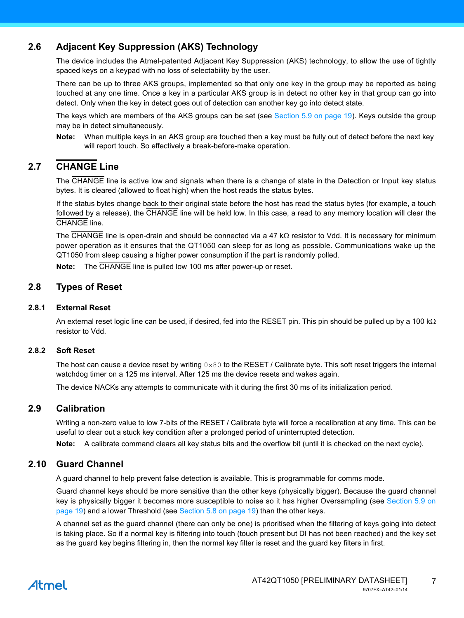#### **2.6 Adjacent Key Suppression (AKS) Technology**

The device includes the Atmel-patented Adjacent Key Suppression (AKS) technology, to allow the use of tightly spaced keys on a keypad with no loss of selectability by the user.

There can be up to three AKS groups, implemented so that only one key in the group may be reported as being touched at any one time. Once a key in a particular AKS group is in detect no other key in that group can go into detect. Only when the key in detect goes out of detection can another key go into detect state.

The keys which are members of the AKS groups can be set (see [Section 5.9 on page 19\)](#page-18-0). Keys outside the group may be in detect simultaneously.

**Note:** When multiple keys in an AKS group are touched then a key must be fully out of detect before the next key will report touch. So effectively a break-before-make operation.

#### <span id="page-6-0"></span>**2.7 CHANGE Line**

The CHANGE line is active low and signals when there is a change of state in the Detection or Input key status bytes. It is cleared (allowed to float high) when the host reads the status bytes.

If the status bytes change back to their original state before the host has read the status bytes (for example, a touch followed by a release), the CHANGE line will be held low. In this case, a read to any memory location will clear the CHANGE line.

The  $\overline{CHANGE}$  line is open-drain and should be connected via a 47 k $\Omega$  resistor to Vdd. It is necessary for minimum power operation as it ensures that the QT1050 can sleep for as long as possible. Communications wake up the QT1050 from sleep causing a higher power consumption if the part is randomly polled.

**Note:** The CHANGE line is pulled low 100 ms after power-up or reset.

#### **2.8 Types of Reset**

#### <span id="page-6-1"></span>**2.8.1 External Reset**

An external reset logic line can be used, if desired, fed into the  $\overline{\text{RESET}}$  pin. This pin should be pulled up by a 100 k $\Omega$ resistor to Vdd.

#### **2.8.2 Soft Reset**

The host can cause a device reset by writing  $0 \times 80$  to the RESET / Calibrate byte. This soft reset triggers the internal watchdog timer on a 125 ms interval. After 125 ms the device resets and wakes again.

The device NACKs any attempts to communicate with it during the first 30 ms of its initialization period.

#### **2.9 Calibration**

Writing a non-zero value to low 7-bits of the RESET / Calibrate byte will force a recalibration at any time. This can be useful to clear out a stuck key condition after a prolonged period of uninterrupted detection.

**Note:** A calibrate command clears all key status bits and the overflow bit (until it is checked on the next cycle).

#### **2.10 Guard Channel**

A guard channel to help prevent false detection is available. This is programmable for comms mode.

Guard channel keys should be more sensitive than the other keys (physically bigger). Because the guard channel key is physically bigger it becomes more susceptible to noise so it has higher Oversampling (see [Section 5.9 on](#page-18-0) [page 19](#page-18-0)) and a lower Threshold (see [Section 5.8 on page 19](#page-18-1)) than the other keys.

A channel set as the guard channel (there can only be one) is prioritised when the filtering of keys going into detect is taking place. So if a normal key is filtering into touch (touch present but DI has not been reached) and the key set as the guard key begins filtering in, then the normal key filter is reset and the guard key filters in first.

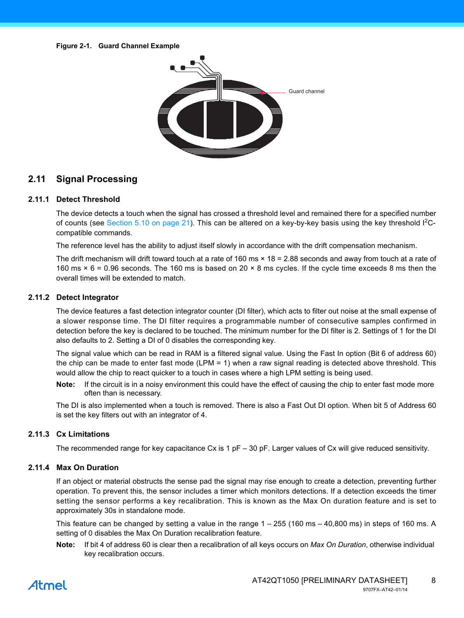

#### **2.11 Signal Processing**

#### **2.11.1 Detect Threshold**

The device detects a touch when the signal has crossed a threshold level and remained there for a specified number of counts (see [Section 5.10 on page 21](#page-20-0)). This can be altered on a key-by-key basis using the key threshold I<sup>2</sup>Ccompatible commands.

The reference level has the ability to adjust itself slowly in accordance with the drift compensation mechanism.

The drift mechanism will drift toward touch at a rate of 160 ms × 18 = 2.88 seconds and away from touch at a rate of 160 ms × 6 = 0.96 seconds. The 160 ms is based on 20 × 8 ms cycles. If the cycle time exceeds 8 ms then the overall times will be extended to match.

#### **2.11.2 Detect Integrator**

The device features a fast detection integrator counter (DI filter), which acts to filter out noise at the small expense of a slower response time. The DI filter requires a programmable number of consecutive samples confirmed in detection before the key is declared to be touched. The minimum number for the DI filter is 2. Settings of 1 for the DI also defaults to 2. Setting a DI of 0 disables the corresponding key.

The signal value which can be read in RAM is a filtered signal value. Using the Fast In option (Bit 6 of address 60) the chip can be made to enter fast mode (LPM = 1) when a raw signal reading is detected above threshold. This would allow the chip to react quicker to a touch in cases where a high LPM setting is being used.

**Note:** If the circuit is in a noisy environment this could have the effect of causing the chip to enter fast mode more often than is necessary.

The DI is also implemented when a touch is removed. There is also a Fast Out DI option. When bit 5 of Address 60 is set the key filters out with an integrator of 4.

#### **2.11.3 Cx Limitations**

The recommended range for key capacitance Cx is 1 pF – 30 pF. Larger values of Cx will give reduced sensitivity.

#### **2.11.4 Max On Duration**

If an object or material obstructs the sense pad the signal may rise enough to create a detection, preventing further operation. To prevent this, the sensor includes a timer which monitors detections. If a detection exceeds the timer setting the sensor performs a key recalibration. This is known as the Max On duration feature and is set to approximately 30s in standalone mode.

This feature can be changed by setting a value in the range 1 – 255 (160 ms – 40,800 ms) in steps of 160 ms. A setting of 0 disables the Max On Duration recalibration feature.

**Note:** If bit 4 of address 60 is clear then a recalibration of all keys occurs on *Max On Duration*, otherwise individual key recalibration occurs.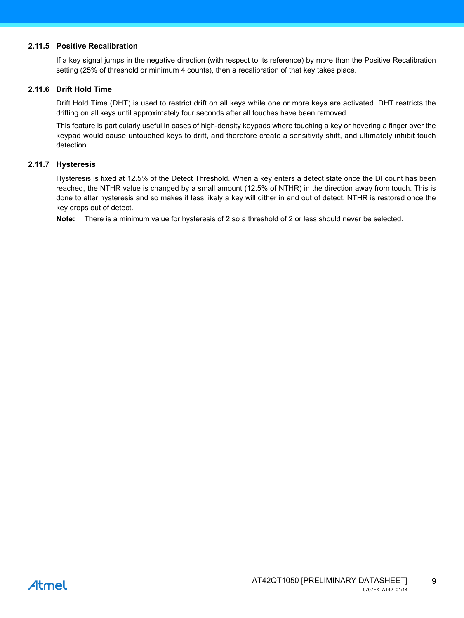#### **2.11.5 Positive Recalibration**

If a key signal jumps in the negative direction (with respect to its reference) by more than the Positive Recalibration setting (25% of threshold or minimum 4 counts), then a recalibration of that key takes place.

#### **2.11.6 Drift Hold Time**

Drift Hold Time (DHT) is used to restrict drift on all keys while one or more keys are activated. DHT restricts the drifting on all keys until approximately four seconds after all touches have been removed.

This feature is particularly useful in cases of high-density keypads where touching a key or hovering a finger over the keypad would cause untouched keys to drift, and therefore create a sensitivity shift, and ultimately inhibit touch detection.

#### **2.11.7 Hysteresis**

Hysteresis is fixed at 12.5% of the Detect Threshold. When a key enters a detect state once the DI count has been reached, the NTHR value is changed by a small amount (12.5% of NTHR) in the direction away from touch. This is done to alter hysteresis and so makes it less likely a key will dither in and out of detect. NTHR is restored once the key drops out of detect.

**Note:** There is a minimum value for hysteresis of 2 so a threshold of 2 or less should never be selected.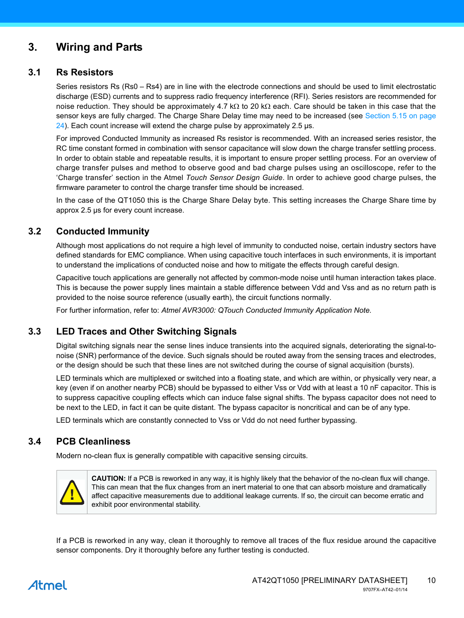### **3. Wiring and Parts**

#### <span id="page-9-0"></span>**3.1 Rs Resistors**

Series resistors Rs (Rs0 – Rs4) are in line with the electrode connections and should be used to limit electrostatic discharge (ESD) currents and to suppress radio frequency interference (RFI). Series resistors are recommended for noise reduction. They should be approximately 4.7 k $\Omega$  to 20 k $\Omega$  each. Care should be taken in this case that the sensor keys are fully charged. The Charge Share Delay time may need to be increased (see [Section 5.15 on page](#page-23-0) [24\)](#page-23-0). Each count increase will extend the charge pulse by approximately 2.5 µs.

For improved Conducted Immunity as increased Rs resistor is recommended. With an increased series resistor, the RC time constant formed in combination with sensor capacitance will slow down the charge transfer settling process. In order to obtain stable and repeatable results, it is important to ensure proper settling process. For an overview of charge transfer pulses and method to observe good and bad charge pulses using an oscilloscope, refer to the 'Charge transfer' section in the Atmel *Touch Sensor Design Guide*. In order to achieve good charge pulses, the firmware parameter to control the charge transfer time should be increased.

In the case of the QT1050 this is the Charge Share Delay byte. This setting increases the Charge Share time by approx 2.5 µs for every count increase.

#### **3.2 Conducted Immunity**

Although most applications do not require a high level of immunity to conducted noise, certain industry sectors have defined standards for EMC compliance. When using capacitive touch interfaces in such environments, it is important to understand the implications of conducted noise and how to mitigate the effects through careful design.

Capacitive touch applications are generally not affected by common-mode noise until human interaction takes place. This is because the power supply lines maintain a stable difference between Vdd and Vss and as no return path is provided to the noise source reference (usually earth), the circuit functions normally.

For further information, refer to: *Atmel AVR3000: QTouch Conducted Immunity Application Note.*

#### <span id="page-9-1"></span>**3.3 LED Traces and Other Switching Signals**

Digital switching signals near the sense lines induce transients into the acquired signals, deteriorating the signal-tonoise (SNR) performance of the device. Such signals should be routed away from the sensing traces and electrodes, or the design should be such that these lines are not switched during the course of signal acquisition (bursts).

LED terminals which are multiplexed or switched into a floating state, and which are within, or physically very near, a key (even if on another nearby PCB) should be bypassed to either Vss or Vdd with at least a 10 nF capacitor. This is to suppress capacitive coupling effects which can induce false signal shifts. The bypass capacitor does not need to be next to the LED, in fact it can be quite distant. The bypass capacitor is noncritical and can be of any type.

LED terminals which are constantly connected to Vss or Vdd do not need further bypassing.

#### **3.4 PCB Cleanliness**

Modern no-clean flux is generally compatible with capacitive sensing circuits.



**CAUTION:** If a PCB is reworked in any way, it is highly likely that the behavior of the no-clean flux will change. This can mean that the flux changes from an inert material to one that can absorb moisture and dramatically affect capacitive measurements due to additional leakage currents. If so, the circuit can become erratic and exhibit poor environmental stability.

If a PCB is reworked in any way, clean it thoroughly to remove all traces of the flux residue around the capacitive sensor components. Dry it thoroughly before any further testing is conducted.

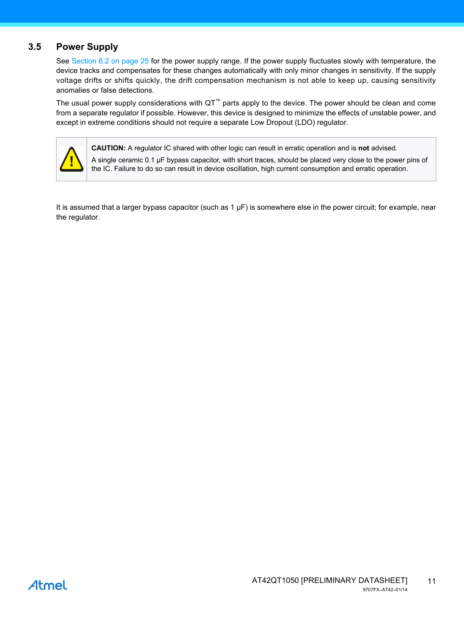#### <span id="page-10-0"></span>**3.5 Power Supply**

See [Section 6.2 on page 25](#page-24-0) for the power supply range. If the power supply fluctuates slowly with temperature, the device tracks and compensates for these changes automatically with only minor changes in sensitivity. If the supply voltage drifts or shifts quickly, the drift compensation mechanism is not able to keep up, causing sensitivity anomalies or false detections.

The usual power supply considerations with QT™ parts apply to the device. The power should be clean and come from a separate regulator if possible. However, this device is designed to minimize the effects of unstable power, and except in extreme conditions should not require a separate Low Dropout (LDO) regulator.



**CAUTION:** A regulator IC shared with other logic can result in erratic operation and is **not** advised.

A single ceramic 0.1 µF bypass capacitor, with short traces, should be placed very close to the power pins of the IC. Failure to do so can result in device oscillation, high current consumption and erratic operation.

It is assumed that a larger bypass capacitor (such as  $1 \mu F$ ) is somewhere else in the power circuit; for example, near the regulator.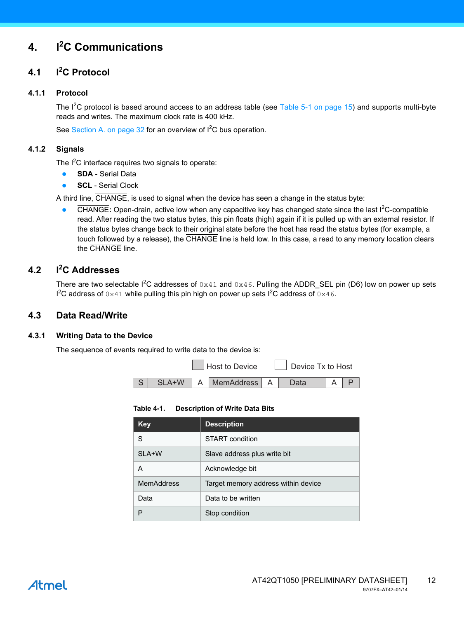### **4. I<sup>2</sup> C Communications**

#### **4.1 I<sup>2</sup> I<sup>2</sup>C Protocol**

#### **4.1.1 Protocol**

The  $I^2C$  protocol is based around access to an address table (see [Table 5-1 on page 15](#page-14-0)) and supports multi-byte reads and writes. The maximum clock rate is 400 kHz.

See [Section A. on page 32](#page-31-0) for an overview of  $l^2C$  bus operation.

#### **4.1.2 Signals**

The  $I<sup>2</sup>C$  interface requires two signals to operate:

- **SDA** Serial Data
- **SCL** Serial Clock

A third line, CHANGE, is used to signal when the device has seen a change in the status byte:

• CHANGE: Open-drain, active low when any capacitive key has changed state since the last I<sup>2</sup>C-compatible read. After reading the two status bytes, this pin floats (high) again if it is pulled up with an external resistor. If the status bytes change back to their original state before the host has read the status bytes (for example, a touch followed by a release), the CHANGE line is held low. In this case, a read to any memory location clears the CHANGE line.

#### <span id="page-11-0"></span>**4.2 I<sup>2</sup> C Addresses**

There are two selectable  $1^2C$  addresses of  $0 \times 41$  and  $0 \times 46$ . Pulling the ADDR\_SEL pin (D6) low on power up sets  $1^2C$  address of  $0 \times 41$  while pulling this pin high on power up sets  $1^2C$  address of  $0 \times 46$ .

#### **4.3 Data Read/Write**

#### **4.3.1 Writing Data to the Device**

The sequence of events required to write data to the device is:

Host to Device  $\Box$  Device Tx to Host



**Table 4-1. Description of Write Data Bits**

| Key               | <b>Description</b>                  |
|-------------------|-------------------------------------|
| S                 | START condition                     |
| SLA+W             | Slave address plus write bit        |
| A                 | Acknowledge bit                     |
| <b>MemAddress</b> | Target memory address within device |
| Data              | Data to be written                  |
| P                 | Stop condition                      |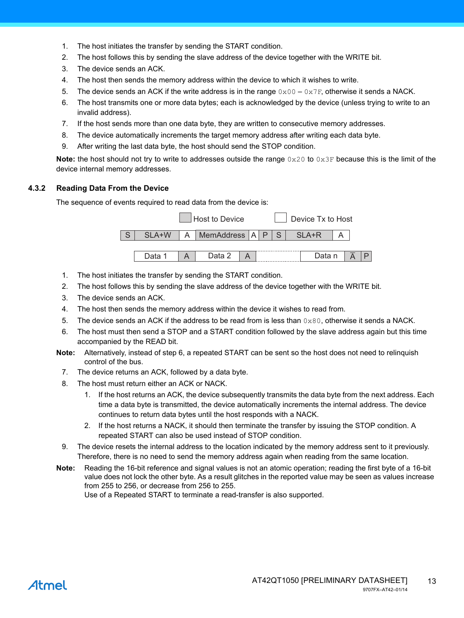- 1. The host initiates the transfer by sending the START condition.
- 2. The host follows this by sending the slave address of the device together with the WRITE bit.
- 3. The device sends an ACK.
- 4. The host then sends the memory address within the device to which it wishes to write.
- 5. The device sends an ACK if the write address is in the range  $0 \times 00 0 \times 7F$ , otherwise it sends a NACK.
- 6. The host transmits one or more data bytes; each is acknowledged by the device (unless trying to write to an invalid address).
- 7. If the host sends more than one data byte, they are written to consecutive memory addresses.
- 8. The device automatically increments the target memory address after writing each data byte.
- 9. After writing the last data byte, the host should send the STOP condition.

**Note:** the host should not try to write to addresses outside the range  $0 \times 20$  to  $0 \times 3F$  because this is the limit of the device internal memory addresses.

#### **4.3.2 Reading Data From the Device**

The sequence of events required to read data from the device is:



- 1. The host initiates the transfer by sending the START condition.
- 2. The host follows this by sending the slave address of the device together with the WRITE bit.
- 3. The device sends an ACK.
- 4. The host then sends the memory address within the device it wishes to read from.
- 5. The device sends an ACK if the address to be read from is less than  $0 \times 80$ , otherwise it sends a NACK.
- 6. The host must then send a STOP and a START condition followed by the slave address again but this time accompanied by the READ bit.
- **Note:** Alternatively, instead of step 6, a repeated START can be sent so the host does not need to relinquish control of the bus.
	- 7. The device returns an ACK, followed by a data byte.
	- 8. The host must return either an ACK or NACK.
		- 1. If the host returns an ACK, the device subsequently transmits the data byte from the next address. Each time a data byte is transmitted, the device automatically increments the internal address. The device continues to return data bytes until the host responds with a NACK.
		- 2. If the host returns a NACK, it should then terminate the transfer by issuing the STOP condition. A repeated START can also be used instead of STOP condition.
- 9. The device resets the internal address to the location indicated by the memory address sent to it previously. Therefore, there is no need to send the memory address again when reading from the same location.
- **Note:** Reading the 16-bit reference and signal values is not an atomic operation; reading the first byte of a 16-bit value does not lock the other byte. As a result glitches in the reported value may be seen as values increase from 255 to 256, or decrease from 256 to 255.

Use of a Repeated START to terminate a read-transfer is also supported.

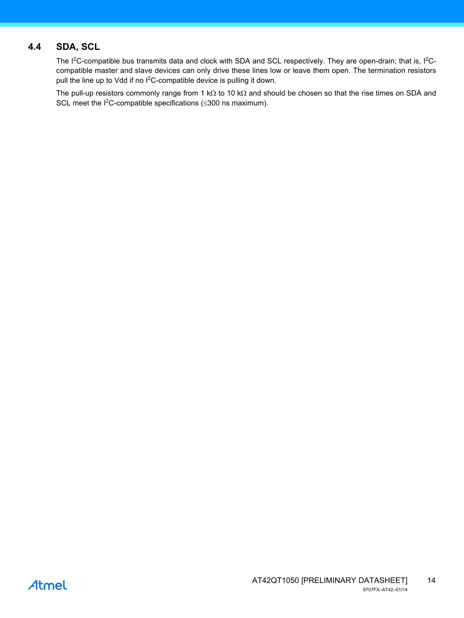#### <span id="page-13-0"></span>**4.4 SDA, SCL**

The I<sup>2</sup>C-compatible bus transmits data and clock with SDA and SCL respectively. They are open-drain; that is, I<sup>2</sup>Ccompatible master and slave devices can only drive these lines low or leave them open. The termination resistors pull the line up to Vdd if no l<sup>2</sup>C-compatible device is pulling it down.

The pull-up resistors commonly range from 1 k $\Omega$  to 10 k $\Omega$  and should be chosen so that the rise times on SDA and SCL meet the  $1^2$ C-compatible specifications ( $\leq$ 300 ns maximum).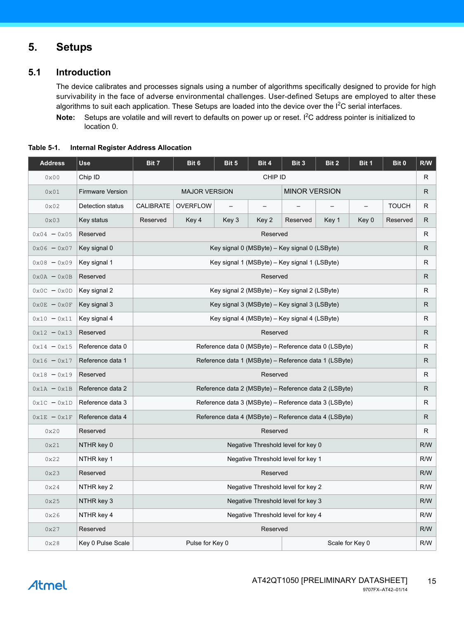### **5. Setups**

#### **5.1 Introduction**

The device calibrates and processes signals using a number of algorithms specifically designed to provide for high survivability in the face of adverse environmental challenges. User-defined Setups are employed to alter these algorithms to suit each application. These Setups are loaded into the device over the  $I^2C$  serial interfaces.

Note: Setups are volatile and will revert to defaults on power up or reset. I<sup>2</sup>C address pointer is initialized to location 0.

| <b>Address</b>              | <b>Use</b>              | Bit 7                              | Bit 6                                                      | Bit 5 | Bit 4             | Bit 3                                                 | Bit 2           | Bit 1 | Bit 0        | R/W |  |
|-----------------------------|-------------------------|------------------------------------|------------------------------------------------------------|-------|-------------------|-------------------------------------------------------|-----------------|-------|--------------|-----|--|
| 0x00                        | Chip ID                 |                                    |                                                            |       | CHIP ID           |                                                       |                 |       |              | R.  |  |
| 0x01                        | <b>Firmware Version</b> |                                    | <b>MAJOR VERSION</b>                                       |       |                   | <b>MINOR VERSION</b>                                  |                 |       |              | R   |  |
| 0x02                        | Detection status        | CALIBRATE                          | <b>OVERFLOW</b>                                            |       | $\qquad \qquad -$ |                                                       |                 |       | <b>TOUCH</b> | R   |  |
| $0 \times 03$               | Key status              | Reserved                           | Key 4                                                      | Key 3 | Key 2             | Reserved                                              | Key 1           | Key 0 | Reserved     | R   |  |
| $0x04 - 0x05$               | Reserved                |                                    |                                                            |       | Reserved          |                                                       |                 |       |              | R   |  |
| $0x06 - 0x07$               | Key signal 0            |                                    |                                                            |       |                   | Key signal 0 (MSByte) - Key signal 0 (LSByte)         |                 |       |              | R   |  |
| $0x08 - 0x09$               | Key signal 1            |                                    |                                                            |       |                   | Key signal 1 (MSByte) – Key signal 1 (LSByte)         |                 |       |              | R   |  |
| $0x0A - 0x0B$               | Reserved                |                                    |                                                            |       | Reserved          |                                                       |                 |       |              | R.  |  |
| $0x0C - 0x0D$               | Key signal 2            |                                    | Key signal 2 (MSByte) – Key signal 2 (LSByte)<br>R         |       |                   |                                                       |                 |       |              |     |  |
| $0 \times 0E - 0 \times 0F$ | Key signal 3            |                                    | R<br>Key signal 3 (MSByte) – Key signal 3 (LSByte)         |       |                   |                                                       |                 |       |              |     |  |
| $0x10 - 0x11$               | Key signal 4            |                                    |                                                            |       |                   | Key signal 4 (MSByte) – Key signal 4 (LSByte)         |                 |       |              | R   |  |
| $0x12 - 0x13$               | Reserved                |                                    | R.<br>Reserved                                             |       |                   |                                                       |                 |       |              |     |  |
| $0x14 - 0x15$               | Reference data 0        |                                    | Reference data 0 (MSByte) - Reference data 0 (LSByte)<br>R |       |                   |                                                       |                 |       |              |     |  |
| $0x16 - 0x17$               | Reference data 1        |                                    | Reference data 1 (MSByte) – Reference data 1 (LSByte)<br>R |       |                   |                                                       |                 |       |              |     |  |
| $0x18 - 0x19$               | Reserved                |                                    |                                                            |       | Reserved          |                                                       |                 |       |              | R   |  |
| $0x1A - 0x1B$               | Reference data 2        |                                    |                                                            |       |                   | Reference data 2 (MSByte) – Reference data 2 (LSByte) |                 |       |              | R   |  |
| $0x1C - 0x1D$               | Reference data 3        |                                    |                                                            |       |                   | Reference data 3 (MSByte) – Reference data 3 (LSByte) |                 |       |              | R.  |  |
| $0x1E - 0x1F$               | Reference data 4        |                                    |                                                            |       |                   | Reference data 4 (MSByte) – Reference data 4 (LSByte) |                 |       |              | R   |  |
| 0x20                        | Reserved                |                                    |                                                            |       | Reserved          |                                                       |                 |       |              | R   |  |
| 0x21                        | NTHR key 0              |                                    |                                                            |       |                   | Negative Threshold level for key 0                    |                 |       |              | R/W |  |
| 0x22                        | NTHR key 1              |                                    |                                                            |       |                   | Negative Threshold level for key 1                    |                 |       |              | R/W |  |
| 0x23                        | Reserved                |                                    | Reserved<br>R/W                                            |       |                   |                                                       |                 |       |              |     |  |
| 0x24                        | NTHR key 2              | Negative Threshold level for key 2 |                                                            |       |                   |                                                       |                 |       |              | R/W |  |
| 0x25                        | NTHR key 3              |                                    |                                                            |       |                   | Negative Threshold level for key 3                    |                 |       |              | R/W |  |
| 0x26                        | NTHR key 4              |                                    |                                                            |       |                   | Negative Threshold level for key 4                    |                 |       |              | R/W |  |
| 0x27                        | Reserved                |                                    |                                                            |       | Reserved          |                                                       |                 |       |              | R/W |  |
| 0x28                        | Key 0 Pulse Scale       |                                    | Pulse for Key 0                                            |       |                   |                                                       | Scale for Key 0 |       |              | R/W |  |

<span id="page-14-0"></span>**Table 5-1. Internal Register Address Allocation**

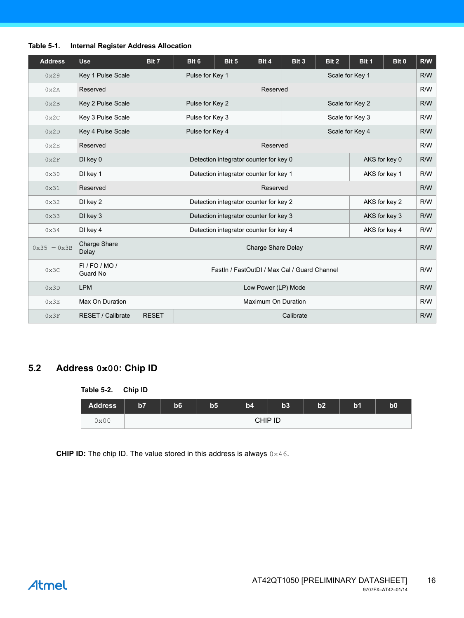| <b>Address</b> | <b>Use</b>                   | Bit 7                              | Bit 6                                        | Bit 5                                  | Bit 4               | Bit 3     | Bit 2           | Bit 1           | Bit 0         | R/W |
|----------------|------------------------------|------------------------------------|----------------------------------------------|----------------------------------------|---------------------|-----------|-----------------|-----------------|---------------|-----|
| 0x29           | Key 1 Pulse Scale            |                                    | Pulse for Key 1                              |                                        |                     |           |                 | Scale for Key 1 |               | R/W |
| 0x2A           | Reserved                     |                                    |                                              |                                        | Reserved            |           |                 |                 |               |     |
| 0x2B           | Key 2 Pulse Scale            |                                    | Pulse for Key 2                              |                                        |                     |           | Scale for Key 2 |                 |               | R/W |
| 0x2C           | Key 3 Pulse Scale            |                                    | Pulse for Key 3                              | Scale for Key 3                        |                     |           |                 | R/W             |               |     |
| 0x2D           | Key 4 Pulse Scale            | Pulse for Key 4<br>Scale for Key 4 |                                              |                                        |                     |           |                 |                 |               | R/W |
| 0x2E           | Reserved                     |                                    | Reserved                                     |                                        |                     |           |                 |                 |               |     |
| 0x2F           | DI key 0                     |                                    | Detection integrator counter for key 0       |                                        |                     |           |                 |                 | AKS for key 0 | R/W |
| 0x30           | DI key 1                     |                                    | Detection integrator counter for key 1       |                                        |                     |           |                 |                 | AKS for key 1 | R/W |
| 0x31           | Reserved                     |                                    | Reserved                                     |                                        |                     |           |                 |                 |               | R/W |
| 0x32           | DI key 2                     |                                    |                                              | Detection integrator counter for key 2 |                     |           |                 |                 | AKS for key 2 | R/W |
| 0x33           | DI key 3                     |                                    |                                              | Detection integrator counter for key 3 |                     |           |                 |                 | AKS for key 3 | R/W |
| 0x34           | DI key 4                     |                                    |                                              | Detection integrator counter for key 4 |                     |           |                 |                 | AKS for key 4 | R/W |
| $0x35 - 0x3B$  | Charge Share<br>Delay        |                                    |                                              |                                        | Charge Share Delay  |           |                 |                 |               | R/W |
| 0x3C           | $FI$ / FO / MO /<br>Guard No |                                    | Fastln / FastOutDI / Max Cal / Guard Channel |                                        |                     |           |                 |                 |               | R/W |
| 0x3D           | <b>LPM</b>                   |                                    |                                              |                                        | Low Power (LP) Mode |           |                 |                 |               | R/W |
| 0x3E           | Max On Duration              |                                    |                                              |                                        | Maximum On Duration |           |                 |                 |               | R/W |
| 0x3F           | RESET / Calibrate            | <b>RESET</b>                       |                                              |                                        |                     | Calibrate |                 |                 |               | R/W |

#### **Table 5-1. Internal Register Address Allocation**

#### **5.2 Address 0x00: Chip ID**

#### **Table 5-2. Chip ID**

| <b>Address</b> | b7 | b6      | b5 | b4 | b3 | b2 | b <sub>1</sub> | $\mathbf{b0}$ |  |  |
|----------------|----|---------|----|----|----|----|----------------|---------------|--|--|
| 0x00           |    | CHIP ID |    |    |    |    |                |               |  |  |

**CHIP ID:** The chip ID. The value stored in this address is always  $0 \times 46$ .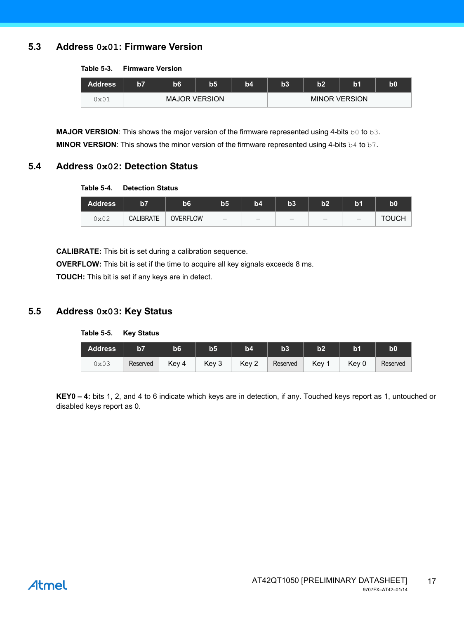#### **5.3 Address 0x01: Firmware Version**

#### **Table 5-3. Firmware Version**

| <b>Address</b> | $\overline{57}$ | b6 | b5                   | b4 | b3 | b2 | b1                   | b0 |
|----------------|-----------------|----|----------------------|----|----|----|----------------------|----|
| 0x01           |                 |    | <b>MAJOR VERSION</b> |    |    |    | <b>MINOR VERSION</b> |    |

**MAJOR VERSION:** This shows the major version of the firmware represented using 4-bits b0 to b3. **MINOR VERSION:** This shows the minor version of the firmware represented using 4-bits b4 to b7.

#### **5.4 Address 0x02: Detection Status**

#### **Table 5-4. Detection Status**

| <b>Address</b> | 157              | b6              | $\overline{b}5$          | b4 | b3 | h2<br>w | b1                       | $\bf{b0}$    |
|----------------|------------------|-----------------|--------------------------|----|----|---------|--------------------------|--------------|
| 0x02           | <b>CALIBRATE</b> | <b>OVERFLOW</b> | $\overline{\phantom{m}}$ |    |    |         | $\overline{\phantom{m}}$ | <b>TOUCH</b> |

**CALIBRATE:** This bit is set during a calibration sequence.

**OVERFLOW:** This bit is set if the time to acquire all key signals exceeds 8 ms.

**TOUCH:** This bit is set if any keys are in detect.

#### **5.5 Address 0x03: Key Status**

**Table 5-5. Key Status**

| <b>Address</b> | b7       | <b>b6</b> | b5    | b4    | b3       | b2    | b <sub>1</sub> | b <sub>0</sub> |
|----------------|----------|-----------|-------|-------|----------|-------|----------------|----------------|
| 0x03           | Reserved | Key 4     | Key 3 | Key 2 | Reserved | Key 1 | Key 0          | Reserved       |

**KEY0 – 4:** bits 1, 2, and 4 to 6 indicate which keys are in detection, if any. Touched keys report as 1, untouched or disabled keys report as 0.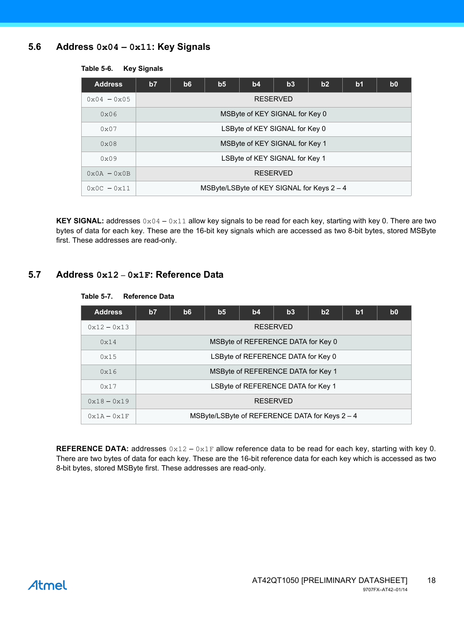#### **5.6 Address 0x04 – 0x11: Key Signals**

| <b>Address</b>              | b7 | b6                             | b <sub>5</sub> | b4              | b3 | b2                                         | b <sub>1</sub> | b <sub>0</sub> |  |  |  |  |  |
|-----------------------------|----|--------------------------------|----------------|-----------------|----|--------------------------------------------|----------------|----------------|--|--|--|--|--|
| $0x04 - 0x05$               |    |                                |                | <b>RESERVED</b> |    |                                            |                |                |  |  |  |  |  |
| 0x06                        |    | MSByte of KEY SIGNAL for Key 0 |                |                 |    |                                            |                |                |  |  |  |  |  |
| $0 \times 07$               |    | LSByte of KEY SIGNAL for Key 0 |                |                 |    |                                            |                |                |  |  |  |  |  |
| 0x08                        |    | MSByte of KEY SIGNAL for Key 1 |                |                 |    |                                            |                |                |  |  |  |  |  |
| $0 \times 09$               |    | LSByte of KEY SIGNAL for Key 1 |                |                 |    |                                            |                |                |  |  |  |  |  |
| $0 \times 0A - 0 \times 0B$ |    | <b>RESERVED</b>                |                |                 |    |                                            |                |                |  |  |  |  |  |
| $0 \times 0C - 0 \times 11$ |    |                                |                |                 |    | MSByte/LSByte of KEY SIGNAL for Keys 2 - 4 |                |                |  |  |  |  |  |

#### **Table 5-6. Key Signals**

**KEY SIGNAL:** addresses  $0 \times 04 - 0 \times 11$  allow key signals to be read for each key, starting with key 0. There are two bytes of data for each key. These are the 16-bit key signals which are accessed as two 8-bit bytes, stored MSByte first. These addresses are read-only.

#### **5.7 Address 0x12** – **0x1F: Reference Data**

#### **Table 5-7. Reference Data**

| <b>Address</b> | b7 | b6              | b <sub>5</sub> | b4                                 | b3 | b2                                             | b <sub>1</sub> | b <sub>0</sub> |  |  |
|----------------|----|-----------------|----------------|------------------------------------|----|------------------------------------------------|----------------|----------------|--|--|
| $0x12 - 0x13$  |    | <b>RESERVED</b> |                |                                    |    |                                                |                |                |  |  |
| 0x14           |    |                 |                | MSByte of REFERENCE DATA for Key 0 |    |                                                |                |                |  |  |
| 0x15           |    |                 |                | LSByte of REFERENCE DATA for Key 0 |    |                                                |                |                |  |  |
| 0x16           |    |                 |                | MSByte of REFERENCE DATA for Key 1 |    |                                                |                |                |  |  |
| 0x17           |    |                 |                | LSByte of REFERENCE DATA for Key 1 |    |                                                |                |                |  |  |
| $0x18 - 0x19$  |    |                 |                | <b>RESERVED</b>                    |    |                                                |                |                |  |  |
| $0x1A - 0x1F$  |    |                 |                |                                    |    | MSByte/LSByte of REFERENCE DATA for Keys 2 - 4 |                |                |  |  |

**REFERENCE DATA:** addresses  $0 \times 12 - 0 \times 1$  F allow reference data to be read for each key, starting with key 0. There are two bytes of data for each key. These are the 16-bit reference data for each key which is accessed as two 8-bit bytes, stored MSByte first. These addresses are read-only.

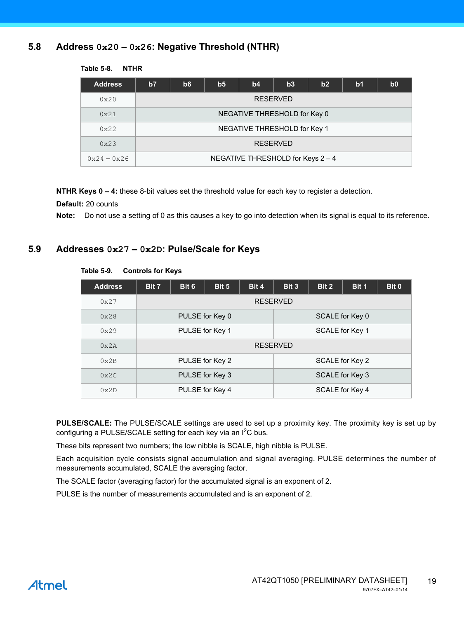#### <span id="page-18-1"></span>**5.8 Address 0x20 – 0x26: Negative Threshold (NTHR)**

| <b>Address</b> | b7 | b6                           | b <sub>5</sub> | b4                                | b3              | b2 | b <sub>1</sub> | b <sub>0</sub> |  |  |
|----------------|----|------------------------------|----------------|-----------------------------------|-----------------|----|----------------|----------------|--|--|
| 0x20           |    | <b>RESERVED</b>              |                |                                   |                 |    |                |                |  |  |
| 0x21           |    | NEGATIVE THRESHOLD for Key 0 |                |                                   |                 |    |                |                |  |  |
| $0 \times 22$  |    |                              |                | NEGATIVE THRESHOLD for Key 1      |                 |    |                |                |  |  |
| 0x23           |    |                              |                |                                   | <b>RESERVED</b> |    |                |                |  |  |
| $0x24 - 0x26$  |    |                              |                | NEGATIVE THRESHOLD for Keys 2 - 4 |                 |    |                |                |  |  |

#### **Table 5-8. NTHR**

**NTHR Keys 0 – 4:** these 8-bit values set the threshold value for each key to register a detection.

**Default:** 20 counts

**Note:** Do not use a setting of 0 as this causes a key to go into detection when its signal is equal to its reference.

#### <span id="page-18-0"></span>**5.9 Addresses 0x27 – 0x2D: Pulse/Scale for Keys**

| <b>Address</b> | Bit 7 | Bit 6           | Bit 5           | Bit 4           | Bit 3           | Bit 2 | Bit 1 | Bit 0 |
|----------------|-------|-----------------|-----------------|-----------------|-----------------|-------|-------|-------|
| 0x27           |       |                 |                 | <b>RESERVED</b> |                 |       |       |       |
| 0x28           |       |                 | PULSE for Key 0 |                 | SCALE for Key 0 |       |       |       |
| 0x29           |       | PULSE for Key 1 |                 |                 | SCALE for Key 1 |       |       |       |
| 0x2A           |       |                 |                 | <b>RESERVED</b> |                 |       |       |       |
| 0x2B           |       |                 | PULSE for Key 2 |                 | SCALE for Key 2 |       |       |       |
| 0x2C           |       |                 | PULSE for Key 3 |                 | SCALE for Key 3 |       |       |       |
| 0x2D           |       |                 | PULSE for Key 4 |                 | SCALE for Key 4 |       |       |       |

#### **Table 5-9. Controls for Keys**

**PULSE/SCALE:** The PULSE/SCALE settings are used to set up a proximity key. The proximity key is set up by configuring a PULSE/SCALE setting for each key via an  $I^2C$  bus.

These bits represent two numbers; the low nibble is SCALE, high nibble is PULSE.

Each acquisition cycle consists signal accumulation and signal averaging. PULSE determines the number of measurements accumulated, SCALE the averaging factor.

The SCALE factor (averaging factor) for the accumulated signal is an exponent of 2.

PULSE is the number of measurements accumulated and is an exponent of 2.

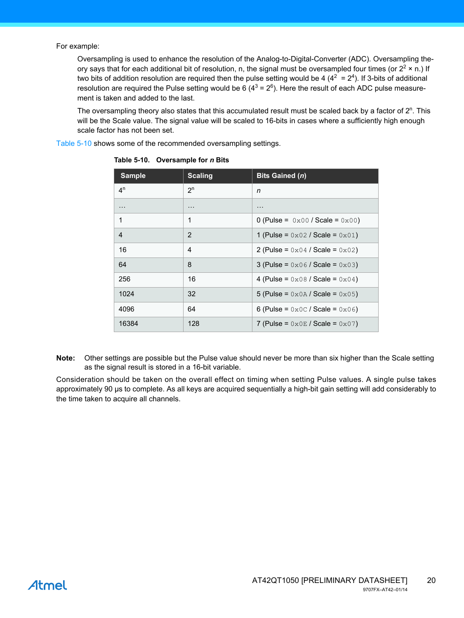For example:

Oversampling is used to enhance the resolution of the Analog-to-Digital-Converter (ADC). Oversampling theory says that for each additional bit of resolution, n, the signal must be oversampled four times (or  $2^2 \times$  n.) If two bits of addition resolution are required then the pulse setting would be 4 ( $4^2 = 2^4$ ). If 3-bits of additional resolution are required the Pulse setting would be 6 (4<sup>3</sup> = 2<sup>6</sup>). Here the result of each ADC pulse measurement is taken and added to the last.

The oversampling theory also states that this accumulated result must be scaled back by a factor of  $2<sup>n</sup>$ . This will be the Scale value. The signal value will be scaled to 16-bits in cases where a sufficiently high enough scale factor has not been set.

[Table 5-10](#page-19-0) shows some of the recommended oversampling settings.

| <b>Sample</b>  | <b>Scaling</b> | <b>Bits Gained (n)</b>                                               |
|----------------|----------------|----------------------------------------------------------------------|
| 4 <sup>n</sup> | $2^n$          | n                                                                    |
| .              | $\cdots$       | .                                                                    |
| 1              | 1              | 0 (Pulse = $0 \times 00$ / Scale = $0 \times 00$ )                   |
| 4              | $\overline{2}$ | 1 (Pulse = $0 \times 02$ / Scale = $0 \times 01$ )                   |
| 16             | 4              | 2 (Pulse = $0 \times 04$ / Scale = $0 \times 02$ )                   |
| 64             | 8              | 3 (Pulse = $0 \times 06$ / Scale = $0 \times 03$ )                   |
| 256            | 16             | 4 (Pulse = $0 \times 08$ / Scale = $0 \times 04$ )                   |
| 1024           | 32             | 5 (Pulse = $0x0A /$ Scale = $0x05$ )                                 |
| 4096           | 64             | 6 (Pulse = $0 \times 0 \text{ C}$ / Scale = $0 \times 0 \text{ 6}$ ) |
| 16384          | 128            | 7 (Pulse = $0 \times 0E /$ Scale = $0 \times 07$ )                   |

<span id="page-19-0"></span>**Table 5-10. Oversample for** *n* **Bits**

**Note:** Other settings are possible but the Pulse value should never be more than six higher than the Scale setting as the signal result is stored in a 16-bit variable.

Consideration should be taken on the overall effect on timing when setting Pulse values. A single pulse takes approximately 90 µs to complete. As all keys are acquired sequentially a high-bit gain setting will add considerably to the time taken to acquire all channels.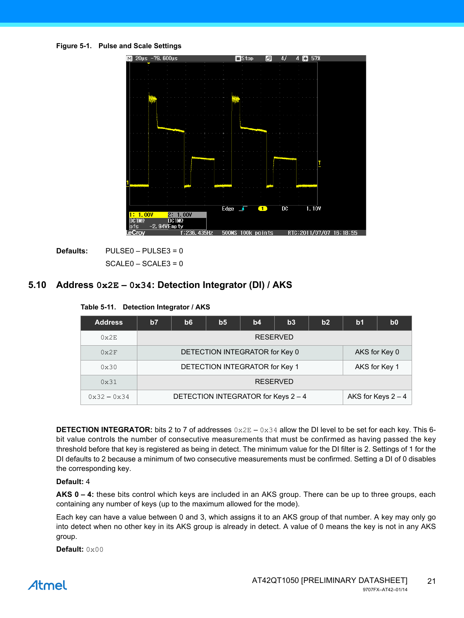



**Defaults:** PULSE0 – PULSE3 = 0  $SCALE0 - SCALE3 = 0$ 

#### <span id="page-20-0"></span>**5.10 Address 0x2E – 0x34: Detection Integrator (DI) / AKS**

| <b>Address</b>              | b7              | b <sub>6</sub>                                  | b <sub>5</sub> | b4                                  | b3 | b2 | b <sub>1</sub> | b <sub>0</sub>       |  |
|-----------------------------|-----------------|-------------------------------------------------|----------------|-------------------------------------|----|----|----------------|----------------------|--|
| $0 \times 2E$               | <b>RESERVED</b> |                                                 |                |                                     |    |    |                |                      |  |
| $0 \times 2F$               |                 | DETECTION INTEGRATOR for Key 0<br>AKS for Key 0 |                |                                     |    |    |                |                      |  |
| $0 \times 30$               |                 |                                                 |                | DETECTION INTEGRATOR for Key 1      |    |    |                | AKS for Key 1        |  |
| $0 \times 31$               |                 | <b>RESERVED</b>                                 |                |                                     |    |    |                |                      |  |
| $0 \times 32 - 0 \times 34$ |                 |                                                 |                | DETECTION INTEGRATOR for Keys 2 - 4 |    |    |                | AKS for Keys $2 - 4$ |  |

**Table 5-11. Detection Integrator / AKS**

**DETECTION INTEGRATOR:** bits 2 to 7 of addresses  $0 \times 2E - 0 \times 34$  allow the DI level to be set for each key. This 6bit value controls the number of consecutive measurements that must be confirmed as having passed the key threshold before that key is registered as being in detect. The minimum value for the DI filter is 2. Settings of 1 for the DI defaults to 2 because a minimum of two consecutive measurements must be confirmed. Setting a DI of 0 disables the corresponding key.

#### **Default:** 4

**AKS 0 – 4:** these bits control which keys are included in an AKS group. There can be up to three groups, each containing any number of keys (up to the maximum allowed for the mode).

Each key can have a value between 0 and 3, which assigns it to an AKS group of that number. A key may only go into detect when no other key in its AKS group is already in detect. A value of 0 means the key is not in any AKS group.

**Default:** 0x00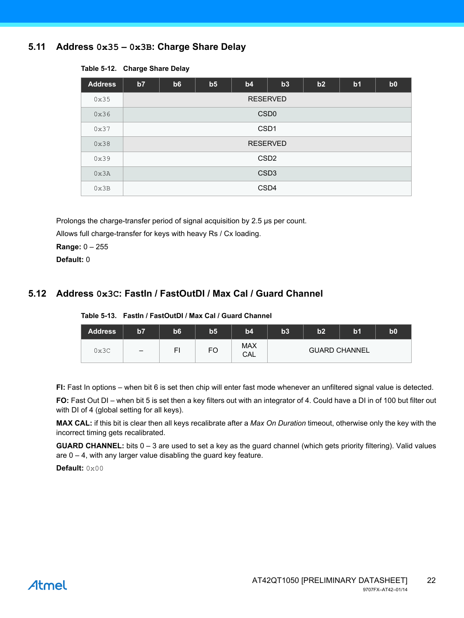#### <span id="page-21-0"></span>**5.11 Address 0x35 – 0x3B: Charge Share Delay**

| <b>Address</b> | b7 | b6              | b <sub>5</sub> | b4               | b3 | b2 | b <sub>1</sub> | b0 |
|----------------|----|-----------------|----------------|------------------|----|----|----------------|----|
| 0x35           |    | <b>RESERVED</b> |                |                  |    |    |                |    |
| 0x36           |    |                 |                | CSD <sub>0</sub> |    |    |                |    |
| 0x37           |    |                 |                | CSD <sub>1</sub> |    |    |                |    |
| 0x38           |    |                 |                | <b>RESERVED</b>  |    |    |                |    |
| 0x39           |    |                 |                | CSD <sub>2</sub> |    |    |                |    |
| 0x3A           |    |                 |                | CSD <sub>3</sub> |    |    |                |    |
| 0x3B           |    |                 |                | CSD4             |    |    |                |    |

#### **Table 5-12. Charge Share Delay**

Prolongs the charge-transfer period of signal acquisition by 2.5 us per count.

Allows full charge-transfer for keys with heavy Rs / Cx loading.

**Range:** 0 – 255

**Default:** 0

#### **5.12 Address 0x3C: FastIn / FastOutDI / Max Cal / Guard Channel**

| Table 5-13. Fastin / FastOutDI / Max Cal / Guard Channel |
|----------------------------------------------------------|
|                                                          |

| <b>Address</b> | b7                       | b <sub>6</sub> | b <sub>5</sub> | b4                | b3 | b2 | b <sub>1</sub>       | b <sub>0</sub> |
|----------------|--------------------------|----------------|----------------|-------------------|----|----|----------------------|----------------|
| 0x3C           | $\overline{\phantom{m}}$ | FI             | <b>FO</b>      | <b>MAX</b><br>CAL |    |    | <b>GUARD CHANNEL</b> |                |

**FI:** Fast In options – when bit 6 is set then chip will enter fast mode whenever an unfiltered signal value is detected.

**FO:** Fast Out DI – when bit 5 is set then a key filters out with an integrator of 4. Could have a DI in of 100 but filter out with DI of 4 (global setting for all keys).

**MAX CAL:** if this bit is clear then all keys recalibrate after a *Max On Duration* timeout, otherwise only the key with the incorrect timing gets recalibrated.

**GUARD CHANNEL:** bits 0 – 3 are used to set a key as the guard channel (which gets priority filtering). Valid values are  $0 - 4$ , with any larger value disabling the guard key feature.

**Default:** 0x00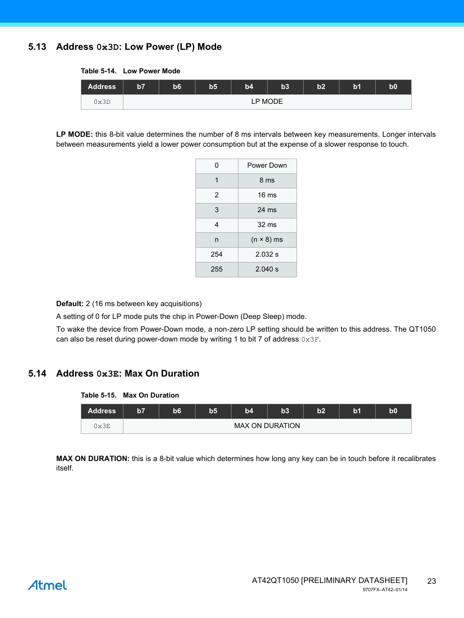#### **5.13 Address 0x3D: Low Power (LP) Mode**

| <b>Address</b> | $\overline{57}$ | b6 | b <sub>5</sub> | b4      | b3 | b2 | b <sub>1</sub> | b0 |
|----------------|-----------------|----|----------------|---------|----|----|----------------|----|
| 0x3D           |                 |    |                | LP MODE |    |    |                |    |

**LP MODE:** this 8-bit value determines the number of 8 ms intervals between key measurements. Longer intervals between measurements yield a lower power consumption but at the expense of a slower response to touch.

| 0   | Power Down        |
|-----|-------------------|
| 1   | 8 <sub>ms</sub>   |
| 2   | $16 \text{ ms}$   |
| 3   | $24 \text{ ms}$   |
| 4   | $32 \text{ ms}$   |
| n   | $(n \times 8)$ ms |
| 254 | 2.032 s           |
| 255 | 2.040 s           |

**Default:** 2 (16 ms between key acquisitions)

A setting of 0 for LP mode puts the chip in Power-Down (Deep Sleep) mode.

To wake the device from Power-Down mode, a non-zero LP setting should be written to this address. The QT1050 can also be reset during power-down mode by writing 1 to bit 7 of address  $0 \times 3F$ .

#### **5.14 Address 0x3E: Max On Duration**

#### **Table 5-15. Max On Duration**

| <b>Address</b> | b7 | b6 | b5 | b4                     | b3 | b2 | b1 | bO |
|----------------|----|----|----|------------------------|----|----|----|----|
| 0x3E           |    |    |    | <b>MAX ON DURATION</b> |    |    |    |    |

**MAX ON DURATION:** this is a 8-bit value which determines how long any key can be in touch before it recalibrates itself.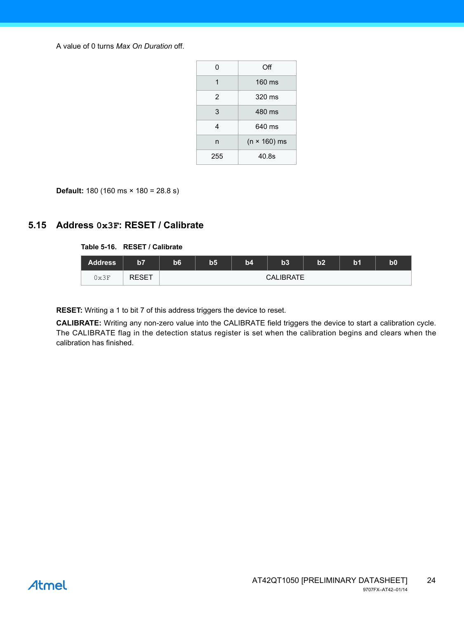A value of 0 turns *Max On Duration* off.

| O   | Off                 |
|-----|---------------------|
| 1   | 160 ms              |
| 2   | 320 ms              |
| 3   | 480 ms              |
| 4   | 640 ms              |
| n   | $(n \times 160)$ ms |
| 255 | 40.8s               |

**Default:** 180 (160 ms × 180 = 28.8 s)

#### <span id="page-23-0"></span>**5.15 Address 0x3F: RESET / Calibrate**

#### **Table 5-16. RESET / Calibrate**

| <b>Address</b> | b7           | b6 | b5 | b4 | b3               | b2 | b <sub>1</sub> | $\mathbf{b0}$ |
|----------------|--------------|----|----|----|------------------|----|----------------|---------------|
| 0x3F           | <b>RESET</b> |    |    |    | <b>CALIBRATE</b> |    |                |               |

**RESET:** Writing a 1 to bit 7 of this address triggers the device to reset.

**CALIBRATE:** Writing any non-zero value into the CALIBRATE field triggers the device to start a calibration cycle. The CALIBRATE flag in the detection status register is set when the calibration begins and clears when the calibration has finished.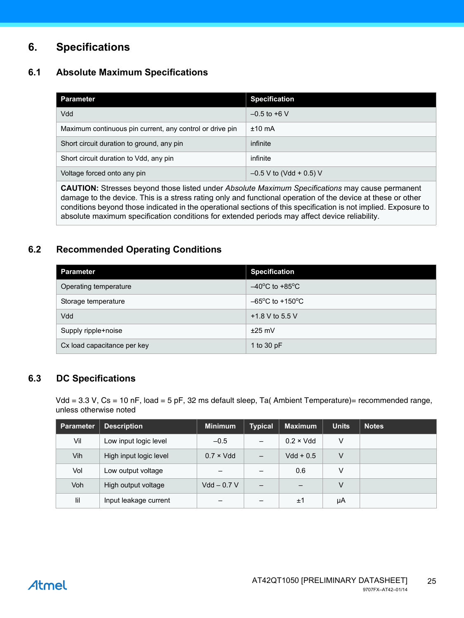### **6. Specifications**

#### **6.1 Absolute Maximum Specifications**

| Parameter                                                | <b>Specification</b>      |
|----------------------------------------------------------|---------------------------|
| Vdd                                                      | $-0.5$ to +6 V            |
| Maximum continuous pin current, any control or drive pin | $±10$ mA                  |
| Short circuit duration to ground, any pin                | infinite                  |
| Short circuit duration to Vdd, any pin                   | infinite                  |
| Voltage forced onto any pin                              | $-0.5$ V to (Vdd + 0.5) V |
|                                                          |                           |

**CAUTION:** Stresses beyond those listed under *Absolute Maximum Specifications* may cause permanent damage to the device. This is a stress rating only and functional operation of the device at these or other conditions beyond those indicated in the operational sections of this specification is not implied. Exposure to absolute maximum specification conditions for extended periods may affect device reliability.

#### <span id="page-24-0"></span>**6.2 Recommended Operating Conditions**

| <b>Parameter</b>            | <b>Specification</b>                 |
|-----------------------------|--------------------------------------|
| Operating temperature       | $-40^{\circ}$ C to +85 $^{\circ}$ C  |
| Storage temperature         | $-65^{\circ}$ C to +150 $^{\circ}$ C |
| Vdd                         | +1.8 V to 5.5 V                      |
| Supply ripple+noise         | $±25$ mV                             |
| Cx load capacitance per key | 1 to 30 pF                           |

#### **6.3 DC Specifications**

Vdd = 3.3 V, Cs = 10 nF, load = 5 pF, 32 ms default sleep, Ta( Ambient Temperature)= recommended range, unless otherwise noted

| <b>Parameter</b> | <b>Description</b>     | <b>Minimum</b>    | <b>Typical</b>           | <b>Maximum</b>    | <b>Units</b> | <b>Notes</b> |
|------------------|------------------------|-------------------|--------------------------|-------------------|--------------|--------------|
| Vil              | Low input logic level  | $-0.5$            | $\qquad \qquad$          | $0.2 \times V$ dd | V            |              |
| Vih              | High input logic level | $0.7 \times V$ dd | -                        | $Vdd + 0.5$       | V            |              |
| Vol              | Low output voltage     | -                 | $\overline{\phantom{0}}$ | 0.6               | v            |              |
| Voh              | High output voltage    | $Vdd - 0.7 V$     |                          |                   | V            |              |
| lil              | Input leakage current  | –                 |                          | ±1                | μA           |              |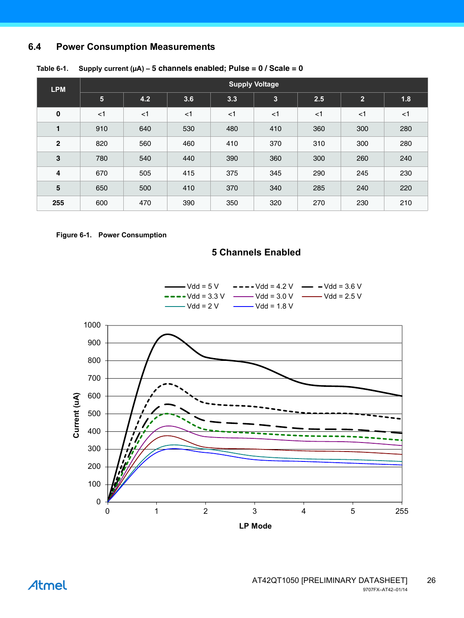#### **6.4 Power Consumption Measurements**

| <b>LPM</b>     | <b>Supply Voltage</b>   |       |       |       |       |       |                |       |
|----------------|-------------------------|-------|-------|-------|-------|-------|----------------|-------|
|                | $\overline{\mathbf{5}}$ | 4.2   | 3.6   | 3.3   | 3     | 2.5   | $\overline{2}$ | 1.8   |
| 0              | $<$ 1                   | $<$ 1 | $<$ 1 | $<$ 1 | $<$ 1 | $<$ 1 | $<$ 1          | $<$ 1 |
| $\blacksquare$ | 910                     | 640   | 530   | 480   | 410   | 360   | 300            | 280   |
| $\overline{2}$ | 820                     | 560   | 460   | 410   | 370   | 310   | 300            | 280   |
| 3              | 780                     | 540   | 440   | 390   | 360   | 300   | 260            | 240   |
| 4              | 670                     | 505   | 415   | 375   | 345   | 290   | 245            | 230   |
| 5              | 650                     | 500   | 410   | 370   | 340   | 285   | 240            | 220   |
| 255            | 600                     | 470   | 390   | 350   | 320   | 270   | 230            | 210   |

#### Table 6-1. Supply current  $(\mu A) - 5$  channels enabled; Pulse =  $0/$  Scale =  $0$



#### **5 Channels Enabled**



0 1 2 3 4 5 255 **LP Mode**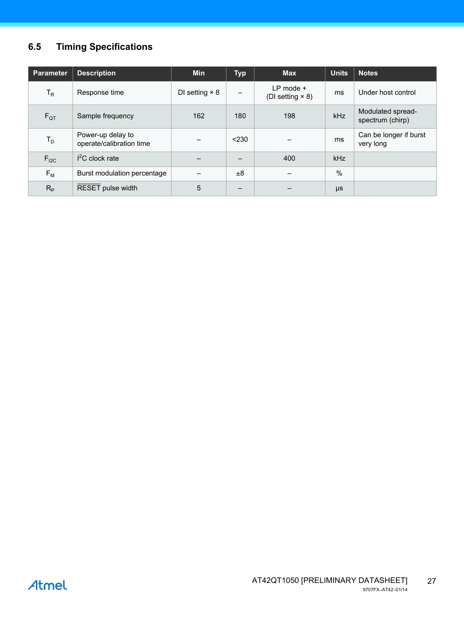### **6.5 Timing Specifications**

| <b>Parameter</b> | <b>Description</b>                            | <b>Min</b>            | <b>Typ</b> | <b>Max</b>                               | <b>Units</b> | <b>Notes</b>                          |
|------------------|-----------------------------------------------|-----------------------|------------|------------------------------------------|--------------|---------------------------------------|
| $T_R$            | Response time                                 | DI setting $\times$ 8 |            | $LP$ mode $+$<br>(DI setting $\times$ 8) | ms           | Under host control                    |
| $F_{QT}$         | Sample frequency                              | 162                   | 180        | 198                                      | kHz          | Modulated spread-<br>spectrum (chirp) |
| $T_D$            | Power-up delay to<br>operate/calibration time |                       | < 230      |                                          | ms           | Can be longer if burst<br>very long   |
| $F_{I2C}$        | $I2C$ clock rate                              |                       |            | 400                                      | <b>kHz</b>   |                                       |
| $F_{M}$          | Burst modulation percentage                   |                       | ±8         |                                          | %            |                                       |
| $R_{\rm p}$      | RESET pulse width                             | 5                     |            |                                          | μs           |                                       |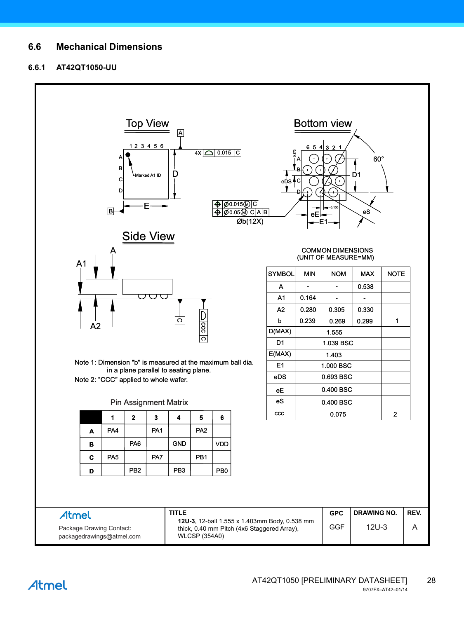#### **6.6 Mechanical Dimensions**

#### **6.6.1 AT42QT1050-UU**

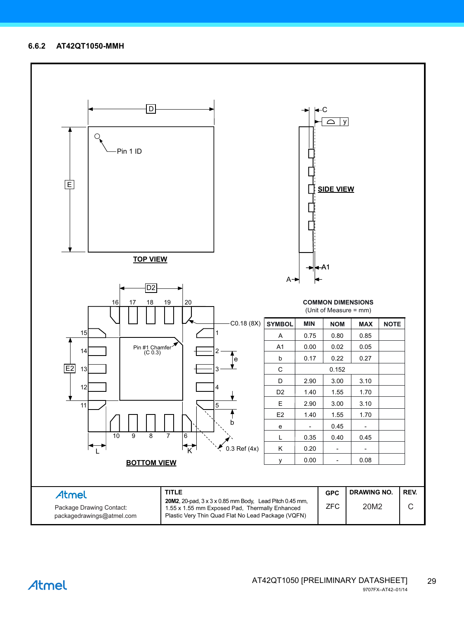#### **6.6.2 AT42QT1050-MMH**

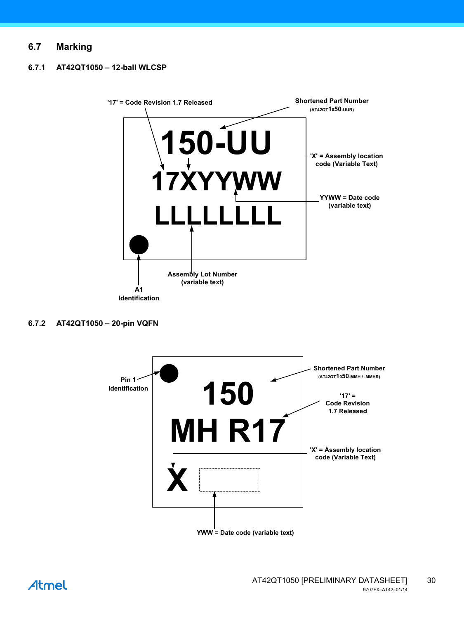#### **6.7 Marking**

#### **6.7.1 AT42QT1050 – 12-ball WLCSP**



#### **6.7.2 AT42QT1050 – 20-pin VQFN**



AT42QT1050 [PRELIMINARY DATASHEET] 30 9707FX–AT42–01/14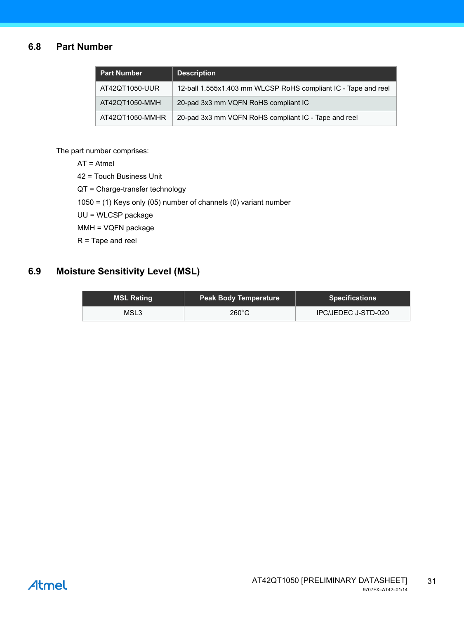#### **6.8 Part Number**

| <b>Part Number</b> | <b>Description</b>                                             |
|--------------------|----------------------------------------------------------------|
| AT42QT1050-UUR     | 12-ball 1.555x1.403 mm WLCSP RoHS compliant IC - Tape and reel |
| AT42QT1050-MMH     | 20-pad 3x3 mm VQFN RoHS compliant IC                           |
| AT42QT1050-MMHR    | 20-pad 3x3 mm VQFN RoHS compliant IC - Tape and reel           |

The part number comprises:

AT = Atmel

42 = Touch Business Unit

QT = Charge-transfer technology

1050 = (1) Keys only (05) number of channels (0) variant number

UU = WLCSP package

MMH = VQFN package

R = Tape and reel

#### **6.9 Moisture Sensitivity Level (MSL)**

| <b>MSL Rating</b> | <b>Peak Body Temperature</b> | <b>Specifications</b> |
|-------------------|------------------------------|-----------------------|
| MSL3              | $260^{\circ}$ C              | IPC/JEDEC J-STD-020   |

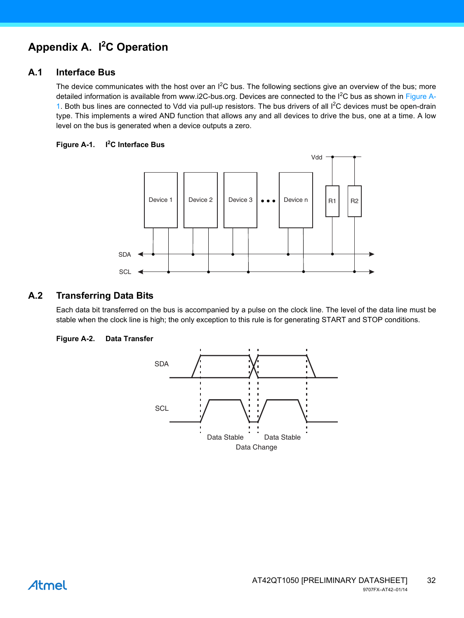### <span id="page-31-0"></span>**Appendix A. I2 C Operation**

#### **A.1 Interface Bus**

The device communicates with the host over an  $I^2C$  bus. The following sections give an overview of the bus; more detailed information is available from www.i2C-bus.org. Devices are connected to the I<sup>2</sup>C bus as shown in [Figure A-](#page-31-1)[1](#page-31-1). Both bus lines are connected to Vdd via pull-up resistors. The bus drivers of all <sup>12</sup>C devices must be open-drain type. This implements a wired AND function that allows any and all devices to drive the bus, one at a time. A low level on the bus is generated when a device outputs a zero.

#### <span id="page-31-1"></span>**Figure A-1. I<sup>2</sup> C Interface Bus**



#### **A.2 Transferring Data Bits**

Each data bit transferred on the bus is accompanied by a pulse on the clock line. The level of the data line must be stable when the clock line is high; the only exception to this rule is for generating START and STOP conditions.

#### **Figure A-2. Data Transfer**



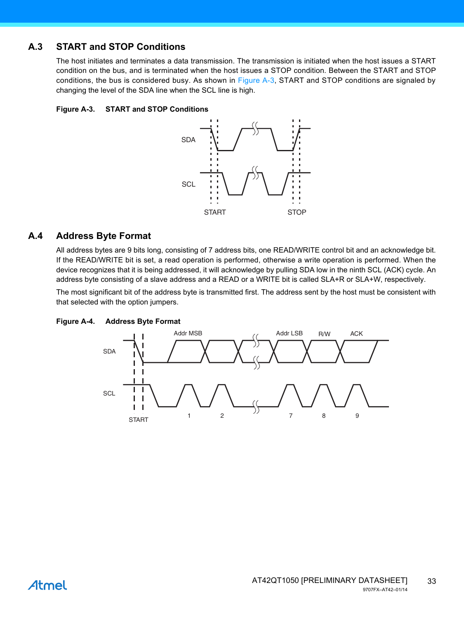#### **A.3 START and STOP Conditions**

The host initiates and terminates a data transmission. The transmission is initiated when the host issues a START condition on the bus, and is terminated when the host issues a STOP condition. Between the START and STOP conditions, the bus is considered busy. As shown in [Figure A-3](#page-32-0), START and STOP conditions are signaled by changing the level of the SDA line when the SCL line is high.

#### <span id="page-32-0"></span>**Figure A-3. START and STOP Conditions**



#### **A.4 Address Byte Format**

All address bytes are 9 bits long, consisting of 7 address bits, one READ/WRITE control bit and an acknowledge bit. If the READ/WRITE bit is set, a read operation is performed, otherwise a write operation is performed. When the device recognizes that it is being addressed, it will acknowledge by pulling SDA low in the ninth SCL (ACK) cycle. An address byte consisting of a slave address and a READ or a WRITE bit is called SLA+R or SLA+W, respectively.

The most significant bit of the address byte is transmitted first. The address sent by the host must be consistent with that selected with the option jumpers.

#### **Figure A-4. Address Byte Format**

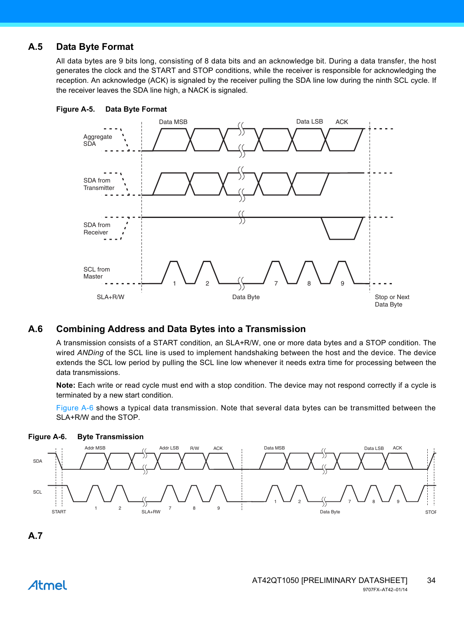#### **A.5 Data Byte Format**

All data bytes are 9 bits long, consisting of 8 data bits and an acknowledge bit. During a data transfer, the host generates the clock and the START and STOP conditions, while the receiver is responsible for acknowledging the reception. An acknowledge (ACK) is signaled by the receiver pulling the SDA line low during the ninth SCL cycle. If the receiver leaves the SDA line high, a NACK is signaled.





#### **A.6 Combining Address and Data Bytes into a Transmission**

A transmission consists of a START condition, an SLA+R/W, one or more data bytes and a STOP condition. The wired *ANDing* of the SCL line is used to implement handshaking between the host and the device. The device extends the SCL low period by pulling the SCL line low whenever it needs extra time for processing between the data transmissions.

**Note:** Each write or read cycle must end with a stop condition. The device may not respond correctly if a cycle is terminated by a new start condition.

[Figure A-6](#page-33-0) shows a typical data transmission. Note that several data bytes can be transmitted between the SLA+R/W and the STOP.



<span id="page-33-0"></span>**Figure A-6. Byte Transmission**

### **A.7**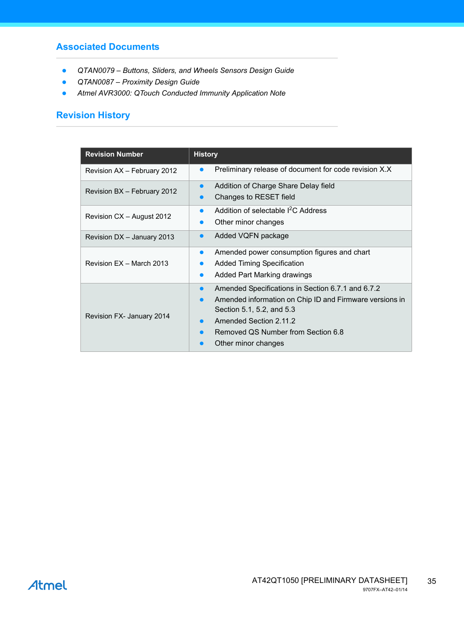#### **Associated Documents**

- *QTAN0079 Buttons, Sliders, and Wheels Sensors Design Guide*
- *QTAN0087 Proximity Design Guide*
- *Atmel AVR3000: QTouch Conducted Immunity Application Note*

#### **Revision History**

| <b>Revision Number</b>      | <b>History</b>                                                                                                                                                                                                                   |
|-----------------------------|----------------------------------------------------------------------------------------------------------------------------------------------------------------------------------------------------------------------------------|
| Revision AX - February 2012 | Preliminary release of document for code revision X.X                                                                                                                                                                            |
| Revision BX - February 2012 | Addition of Charge Share Delay field<br>$\bullet$<br>Changes to RESET field                                                                                                                                                      |
| Revision CX - August 2012   | Addition of selectable <sup>2</sup> C Address<br>Other minor changes                                                                                                                                                             |
| Revision DX - January 2013  | Added VQFN package                                                                                                                                                                                                               |
| Revision EX - March 2013    | Amended power consumption figures and chart<br>$\bullet$<br><b>Added Timing Specification</b><br>Added Part Marking drawings                                                                                                     |
| Revision FX- January 2014   | Amended Specifications in Section 6.7.1 and 6.7.2<br>Amended information on Chip ID and Firmware versions in<br>Section 5.1, 5.2, and 5.3<br>Amended Section 2.11.2<br>Removed QS Number from Section 6.8<br>Other minor changes |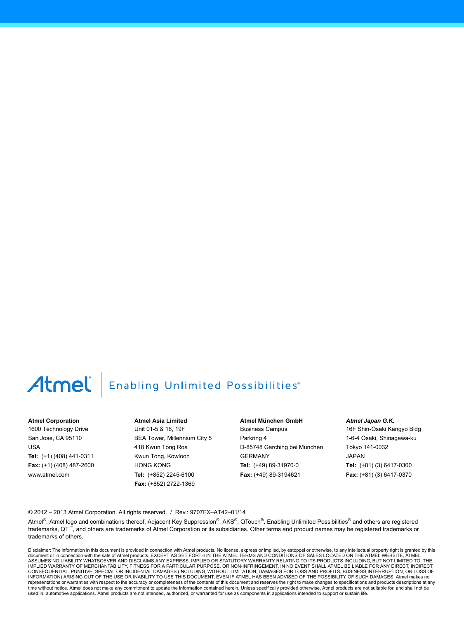## Atmel

### **Enabling Unlimited Possibilities**®

#### **Atmel Corporation**

1600 Technology Drive San Jose, CA 95110 USA **Tel:** (+1) (408) 441-0311 **Fax:** (+1) (408) 487-2600 www.atmel.com

**Atmel Asia Limited** Unit 01-5 & 16, 19F BEA Tower, Millennium City 5 418 Kwun Tong Roa Kwun Tong, Kowloon HONG KONG **Tel:** (+852) 2245-6100 **Fax:** (+852) 2722-1369

**Atmel München GmbH** Business Campus Parkring 4 D-85748 Garching bei München GERMANY **Tel:** (+49) 89-31970-0 **Fax:** (+49) 89-3194621

*Atmel Japan G.K.*

16F Shin-Osaki Kangyo Bldg 1-6-4 Osaki, Shinagawa-ku Tokyo 141-0032 JAPAN **Tel:** (+81) (3) 6417-0300 **Fax:** (+81) (3) 6417-0370

© 2012 – 2013 Atmel Corporation. All rights reserved. / Rev.: 9707FX–AT42–01/14

Atmel®, Atmel logo and combinations thereof, Adjacent Key Suppression®, AKS®, QTouch®, Enabling Unlimited Possibilities® and others are registered trademarks, QT™, and others are trademarks of Atmel Corporation or its subsidiaries. Other terms and product names may be registered trademarks or trademarks of others.

Disclaimer: The information in this document is provided in connection with Atmel products. No license, express or implied, by estoppel or otherwise, to any intellectual property right is granted by this document or in connection with the sale of Atmel products. EXCEPT AS SET FORTH IN THE ATMEL TERMS AND CONDITIONS OF SALES LOCATED ON THE ATMEL WEBSITE, ATMEL<br>ASSUMES NO LIABILITY WHATSOEVER AND DISCLAIMS ANY EXPRESS, IMPLI IMPLIED WARRANTY OF MERCHANTABILITY, FITNESS FOR A PARTICULAR PURPOSE, OR NON-INFRINGEMENT. IN NO EVENT SHALL ATMEL BE LIABLE FOR ANY DIRECT, INDIRECT, CONSEQUENTIAL, PUNITIVE, SPECIAL OR INCIDENTAL DAMAGES (INCLUDING, WITHOUT LIMITATION, DAMAGES FOR LOSS AND PROFITS, BUSINESS INTERRUPTION, OR LOSS OF INFORMATION) ARISING OUT OF THE USE OR INABILITY TO USE THIS DOCUMENT, EVEN IF ATMEL HAS BEEN ADVISED OF THE POSSIBILITY OF SUCH DAMAGES. Atmel makes no representations or warranties with respect to the accuracy or completeness of the contents of this document and reserves the right to make changes to specifications and products descriptions at any<br>time without notice. Atm used in, automotive applications. Atmel products are not intended, authorized, or warranted for use as components in applications intended to support or sustain life.